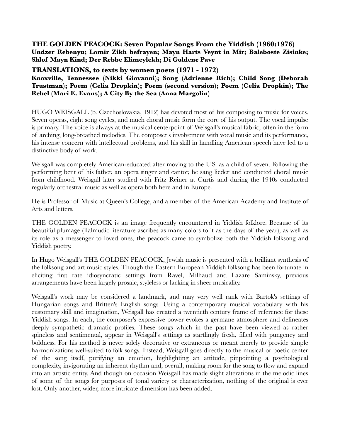## **THE GOLDEN PEACOCK: Seven Popular Songs From the Yiddish (1960:1976) Undzer Rebenyu; Lomir Zikh befrayen; Mayn Harts Veynt in Mir; Baleboste Zisinke; Shlof Mayn Kind; Der Rebbe Elimeylekh; Di Goldene Pave**

**TRANSLATIONS, to texts by women poets (1971 - 1972)**

**Knoxville, Tennessee (Nikki Giovanni); Song (Adrienne Rich); Child Song (Deborah Trustman); Poem (Celia Dropkin); Poem (second version); Poem (Celia Dropkin); The Rebel (Mari E. Evans); A City By the Sea (Anna Margolin)**

HUGO WEISGALL (b. Czechoslovakia, 1912) has devoted most of his composing to music for voices. Seven operas, eight song cycles, and much choral music form the core of his output. The vocal impulse is primary. The voice is always at the musical centerpoint of Weisgall's musical fabric, often in the form of arching, long-breathed melodies. The composer's involvement with vocal music and its performance, his intense concern with intellectual problems, and his skill in handling American speech have led to a distinctive body of work.

Weisgall was completely American-educated after moving to the U.S. as a child of seven. Following the performing bent of his father, an opera singer and cantor, he sang lieder and conducted choral music from childhood. Weisgall later studied with Fritz Reiner at Curtis and during the 1940s conducted regularly orchestral music as well as opera both here and in Europe.

He is Professor of Music at Queen's College, and a member of the American Academy and Institute of Arts and letters.

THE GOLDEN PEACOCK is an image frequently encountered in Yiddish folklore. Because of its beautiful plumage (Talmudic literature ascribes as many colors to it as the days of the year), as well as its role as a messenger to loved ones, the peacock came to symbolize both the Yiddish folksong and Yiddish poetry.

In Hugo Weisgall's THE GOLDEN PEACOCK, Jewish music is presented with a brilliant synthesis of the folksong and art music styles. Though the Eastern European Yiddish folksong has been fortunate in eliciting first rate idiosyncratic settings from Ravel, Milhaud and Lazare Saminsky, previous arrangements have been largely prosaic, styleless or lacking in sheer musicality.

Weisgall's work may be considered a landmark, and may very well rank with Bartok's settings of Hungarian songs and Britten's English songs. Using a contemporary musical vocabulary with his customary skill and imagination, Weisgall has created a twentieth century frame of reference for these Yiddish songs. In each, the composer's expressive power evokes a germane atmosphere and delineates deeply sympathetic dramatic profiles. These songs which in the past have been viewed as rather spineless and sentimental, appear in Weisgall's settings as startlingly fresh, filled with pungency and boldness. For his method is never solely decorative or extraneous or meant merely to provide simple harmonizations well-suited to folk songs. Instead, Weisgall goes directly to the musical or poetic center of the song itself, purifying an emotion, highlighting an attitude, pinpointing a psychological complexity, invigorating an inherent rhythm and, overall, making room for the song to flow and expand into an artistic entity. And though on occasion Weisgall has made slight alterations in the melodic lines of some of the songs for purposes of tonal variety or characterization, nothing of the original is ever lost. Only another, wider, more intricate dimension has been added.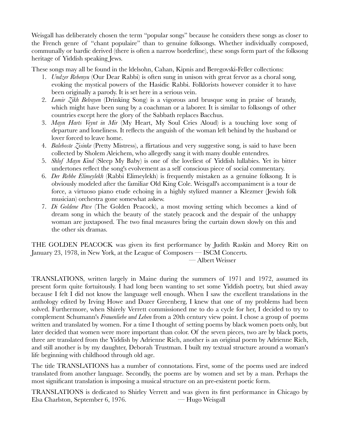Weisgall has deliberately chosen the term "popular songs" because he considers these songs as closer to the French genre of "chant populaire" than to genuine folksongs. Whether individually composed, communally or bardic derived (there is often a narrow borderline), these songs form part of the folksong heritage of Yiddish speaking Jews.

These songs may all be found in the ldelsohn, Cahan, Kipnis and Beregovski-Feller collections:

- 1. *Undzer Rebenyu* (Our Dear Rabbi) is often sung in unison with great fervor as a choral song, evoking the mystical powers of the Hasidic Rabbi. Folklorists however consider it to have been originally a parody. It is set here in a serious vein.
- 2. *Lomir Zikh Belrayen* (Drinking Song) is a vigorous and brusque song in praise of brandy, which might have been sung by a coachman or a laborer. It is similar to folksongs of other countries except here the glory of the Sabbath replaces Bacchus.
- 3. *Mayn Harts Veynt in Mir* (My Heart, My Soul Cries Aloud) is a touching love song of departure and loneliness. It reflects the anguish of the woman left behind by the husband or lover forced to leave home.
- 4. *Baleboste Zisinke* (Pretty Mistress), a flirtatious and very suggestive song, is said to have been collected by Sholem Aleichem, who allegedly sang it with many double entendres.
- 5. *Shlof Mayn Kind* (Sleep My Baby) is one of the loveliest of Yiddish lullabies. Yet its bitter undertones reflect the song's evolvement as a self conscious piece of social commentary.
- 6. *Der Rebbe Elimeylekh* (Rabbi Elimeylekh) is frequently mistaken as a genuine folksong. It is obviously modeled after the familiar Old King Cole. Weisgall's accompaniment is a tour de force, a virtuoso piano etude echoing in a highly stylized manner a Klezmer (Jewish folk musician) orchestra gone somewhat askew.
- 7. *Di Goldene Pave* (The Golden Peacock), a most moving setting which becomes a kind of dream song in which the beauty of the stately peacock and the despair of the unhappy woman are juxtaposed. The two final measures bring the curtain down slowly on this and the other six dramas.

THE GOLDEN PEACOCK was given its first performance by Judith Raskin and Morey Ritt on January 23, 1978, in New York, at the League of Composers — ISCM Concerts.

— Albert Weisser

TRANSLATIONS, written largely in Maine during the summers of 1971 and 1972, assumed its present form quite fortuitously. I had long been wanting to set some Yiddish poetry, but shied away because I felt I did not know the language well enough. When I saw the excellent translations in the anthology edited by Irving Howe and Dozer Greenberg, I knew that one of my problems had been solved. Furthermore, when Shirely Verrett commissioned me to do a cycle for her, I decided to try to complement Schumann's *Frauenliebe und Leben* from a 20th century view point. I chose a group of poems written and translated by women. For a time I thought of setting poems by black women poets only, but later decided that women were more important than color. Of the seven pieces, two are by black poets, three are translated from the Yiddish by Adrienne Rich, another is an original poem by Adrienne Rich, and still another is by my daughter, Deborah Trustman. I built my textual structure around a woman's life beginning with childhood through old age.

The title TRANSLATIONS has a number of connotations. First, some of the poems used are indeed translated from another language. Secondly, the poems are by women and set by a man. Perhaps the most significant translation is imposing a musical structure on an pre-existent poetic form.

TRANSLATIONS is dedicated to Shirley Verrett and was given its first performance in Chicago by Elsa Charlston, September 6, 1976. — Hugo Weisgall